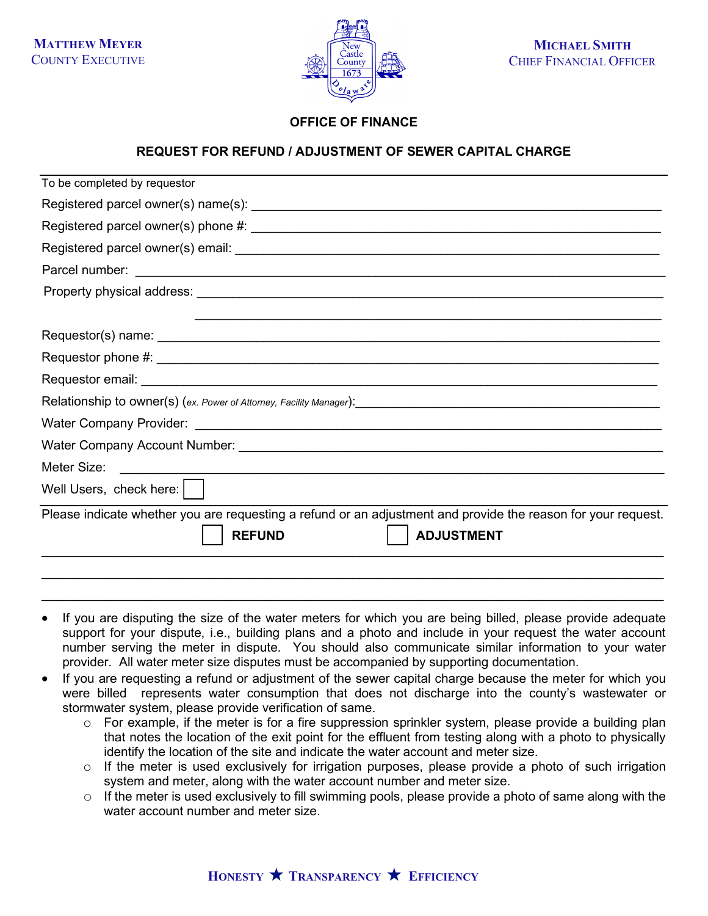**MATTHEW MEYER** COUNTY EXECUTIVE



## **OFFICE OF FINANCE**

## **REQUEST FOR REFUND / ADJUSTMENT OF SEWER CAPITAL CHARGE**

| To be completed by requestor                                                                                                                        |
|-----------------------------------------------------------------------------------------------------------------------------------------------------|
|                                                                                                                                                     |
|                                                                                                                                                     |
|                                                                                                                                                     |
|                                                                                                                                                     |
|                                                                                                                                                     |
|                                                                                                                                                     |
|                                                                                                                                                     |
|                                                                                                                                                     |
|                                                                                                                                                     |
|                                                                                                                                                     |
|                                                                                                                                                     |
|                                                                                                                                                     |
| Meter Size:<br><u> 1989 - Jan Samuel Barbara, margaret eta idazlea (h. 1989).</u>                                                                   |
| Well Users, check here: $\vert \ \ \vert$                                                                                                           |
| Please indicate whether you are requesting a refund or an adjustment and provide the reason for your request.<br><b>ADJUSTMENT</b><br><b>REFUND</b> |
|                                                                                                                                                     |

If you are disputing the size of the water meters for which you are being billed, please provide adequate support for your dispute, i.e., building plans and a photo and include in your request the water account number serving the meter in dispute. You should also communicate similar information to your water provider. All water meter size disputes must be accompanied by supporting documentation.

 $\_$  ,  $\_$  ,  $\_$  ,  $\_$  ,  $\_$  ,  $\_$  ,  $\_$  ,  $\_$  ,  $\_$  ,  $\_$  ,  $\_$  ,  $\_$  ,  $\_$  ,  $\_$  ,  $\_$  ,  $\_$  ,  $\_$  ,  $\_$  ,  $\_$  ,  $\_$  ,  $\_$  ,  $\_$  ,  $\_$  ,  $\_$  ,  $\_$  ,  $\_$  ,  $\_$  ,  $\_$  ,  $\_$  ,  $\_$  ,  $\_$  ,  $\_$  ,  $\_$  ,  $\_$  ,  $\_$  ,  $\_$  ,  $\_$  ,

- If you are requesting a refund or adjustment of the sewer capital charge because the meter for which you were billed represents water consumption that does not discharge into the county's wastewater or stormwater system, please provide verification of same.
	- $\circ$  For example, if the meter is for a fire suppression sprinkler system, please provide a building plan that notes the location of the exit point for the effluent from testing along with a photo to physically identify the location of the site and indicate the water account and meter size.
	- $\circ$  If the meter is used exclusively for irrigation purposes, please provide a photo of such irrigation system and meter, along with the water account number and meter size.
	- $\circ$  If the meter is used exclusively to fill swimming pools, please provide a photo of same along with the water account number and meter size.